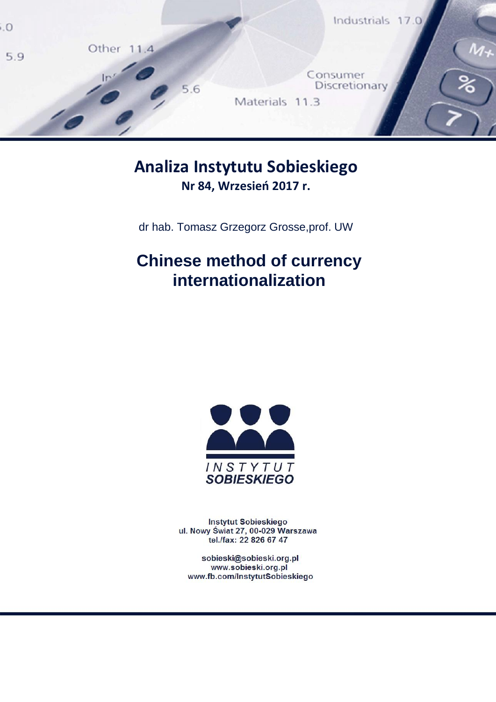

## **Analiza Instytutu Sobieskiego Nr 84, Wrzesień 2017 r.**

dr hab. Tomasz Grzegorz Grosse,prof. UW

# **Chinese method of currency internationalization**



Instytut Sobieskiego ul. Nowy Świat 27, 00-029 Warszawa tel./fax: 22 826 67 47

sobieski@sobieski.org.pl<br>/www.sobieski.org.pl www.fb.com/InstytutSobieskiego

sobieski@sobieski.org.pl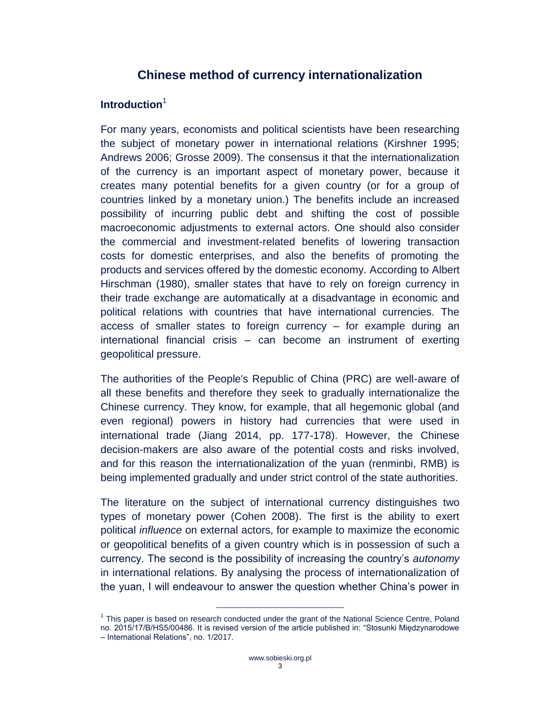### **Chinese method of currency internationalization**

#### <span id="page-2-0"></span>**Introduction**<sup>1</sup>

For many years, economists and political scientists have been researching the subject of monetary power in international relations (Kirshner 1995; Andrews 2006; Grosse 2009). The consensus it that the internationalization of the currency is an important aspect of monetary power, because it creates many potential benefits for a given country (or for a group of countries linked by a monetary union.) The benefits include an increased possibility of incurring public debt and shifting the cost of possible macroeconomic adjustments to external actors. One should also consider the commercial and investment-related benefits of lowering transaction costs for domestic enterprises, and also the benefits of promoting the products and services offered by the domestic economy. According to Albert Hirschman (1980), smaller states that have to rely on foreign currency in their trade exchange are automatically at a disadvantage in economic and political relations with countries that have international currencies. The access of smaller states to foreign currency – for example during an international financial crisis – can become an instrument of exerting geopolitical pressure.

The authorities of the People's Republic of China (PRC) are well-aware of all these benefits and therefore they seek to gradually internationalize the Chinese currency. They know, for example, that all hegemonic global (and even regional) powers in history had currencies that were used in international trade (Jiang 2014, pp. 177-178). However, the Chinese decision-makers are also aware of the potential costs and risks involved, and for this reason the internationalization of the yuan (renminbi, RMB) is being implemented gradually and under strict control of the state authorities.

The literature on the subject of international currency distinguishes two types of monetary power (Cohen 2008). The first is the ability to exert political *influence* on external actors, for example to maximize the economic or geopolitical benefits of a given country which is in possession of such a currency. The second is the possibility of increasing the country's *autonomy* in international relations. By analysing the process of internationalization of the yuan, I will endeavour to answer the question whether China's power in

<sup>&</sup>lt;sup>1</sup> This paper is based on research conducted under the grant of the National Science Centre, Poland no. 2015/17/B/HS5/00486. It is revised version of the article published in: "Stosunki Międzynarodowe – International Relations", no. 1/2017.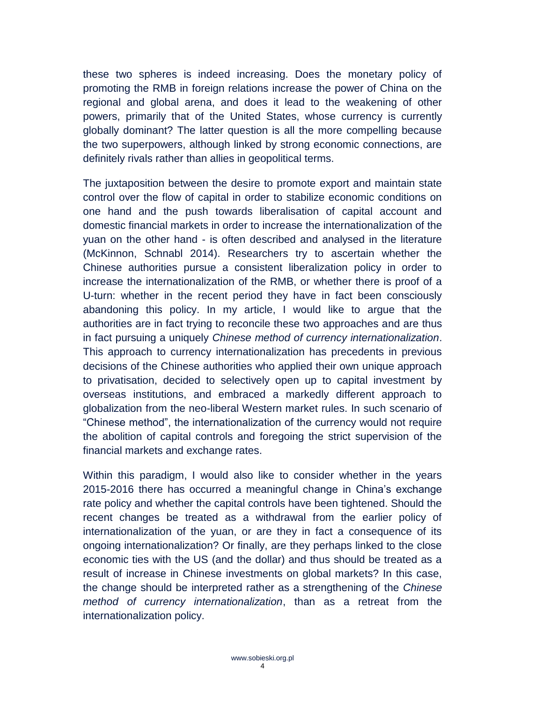these two spheres is indeed increasing. Does the monetary policy of promoting the RMB in foreign relations increase the power of China on the regional and global arena, and does it lead to the weakening of other powers, primarily that of the United States, whose currency is currently globally dominant? The latter question is all the more compelling because the two superpowers, although linked by strong economic connections, are definitely rivals rather than allies in geopolitical terms.

The juxtaposition between the desire to promote export and maintain state control over the flow of capital in order to stabilize economic conditions on one hand and the push towards liberalisation of capital account and domestic financial markets in order to increase the internationalization of the yuan on the other hand - is often described and analysed in the literature (McKinnon, Schnabl 2014). Researchers try to ascertain whether the Chinese authorities pursue a consistent liberalization policy in order to increase the internationalization of the RMB, or whether there is proof of a U-turn: whether in the recent period they have in fact been consciously abandoning this policy. In my article, I would like to argue that the authorities are in fact trying to reconcile these two approaches and are thus in fact pursuing a uniquely *Chinese method of currency internationalization*. This approach to currency internationalization has precedents in previous decisions of the Chinese authorities who applied their own unique approach to privatisation, decided to selectively open up to capital investment by overseas institutions, and embraced a markedly different approach to globalization from the neo-liberal Western market rules. In such scenario of "Chinese method", the internationalization of the currency would not require the abolition of capital controls and foregoing the strict supervision of the financial markets and exchange rates.

Within this paradigm, I would also like to consider whether in the years 2015-2016 there has occurred a meaningful change in China's exchange rate policy and whether the capital controls have been tightened. Should the recent changes be treated as a withdrawal from the earlier policy of internationalization of the yuan, or are they in fact a consequence of its ongoing internationalization? Or finally, are they perhaps linked to the close economic ties with the US (and the dollar) and thus should be treated as a result of increase in Chinese investments on global markets? In this case, the change should be interpreted rather as a strengthening of the *Chinese method of currency internationalization*, than as a retreat from the internationalization policy.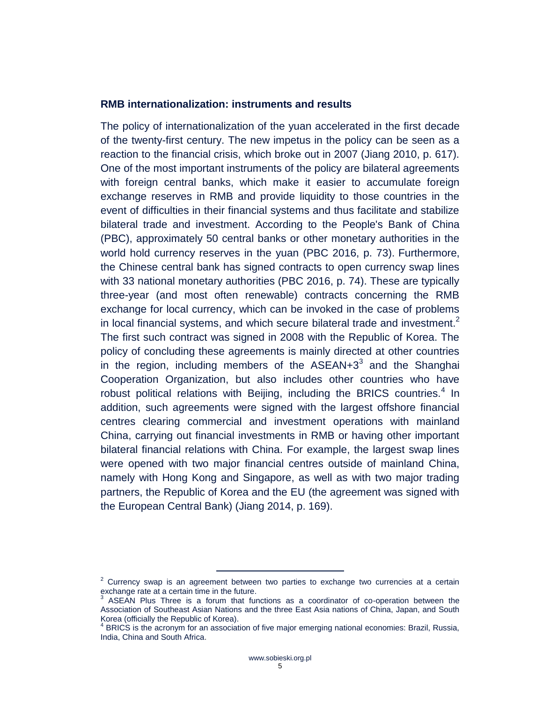#### <span id="page-4-0"></span>**RMB internationalization: instruments and results**

The policy of internationalization of the yuan accelerated in the first decade of the twenty-first century. The new impetus in the policy can be seen as a reaction to the financial crisis, which broke out in 2007 (Jiang 2010, p. 617). One of the most important instruments of the policy are bilateral agreements with foreign central banks, which make it easier to accumulate foreign exchange reserves in RMB and provide liquidity to those countries in the event of difficulties in their financial systems and thus facilitate and stabilize bilateral trade and investment. According to the People's Bank of China (PBC), approximately 50 central banks or other monetary authorities in the world hold currency reserves in the yuan (PBC 2016, p. 73). Furthermore, the Chinese central bank has signed contracts to open currency swap lines with 33 national monetary authorities (PBC 2016, p. 74). These are typically three-year (and most often renewable) contracts concerning the RMB exchange for local currency, which can be invoked in the case of problems in local financial systems, and which secure bilateral trade and investment. $2$ The first such contract was signed in 2008 with the Republic of Korea. The policy of concluding these agreements is mainly directed at other countries in the region, including members of the  $ASEAN+3^3$  and the Shanghai Cooperation Organization, but also includes other countries who have robust political relations with Beijing, including the BRICS countries. $4$  In addition, such agreements were signed with the largest offshore financial centres clearing commercial and investment operations with mainland China, carrying out financial investments in RMB or having other important bilateral financial relations with China. For example, the largest swap lines were opened with two major financial centres outside of mainland China, namely with Hong Kong and Singapore, as well as with two major trading partners, the Republic of Korea and the EU (the agreement was signed with the European Central Bank) (Jiang 2014, p. 169).

 $2$  Currency swap is an agreement between two parties to exchange two currencies at a certain exchange rate at a certain time in the future.<br>3. ASEAN, Plue Three is a forum that fur

ASEAN Plus Three is a forum that functions as a coordinator of co-operation between the Association of Southeast Asian Nations and the three East Asia nations of China, Japan, and South Korea (officially the Republic of Korea).

<sup>&</sup>lt;sup>4</sup> BRICS is the acronym for an association of five major emerging national economies: Brazil, Russia, India, China and South Africa.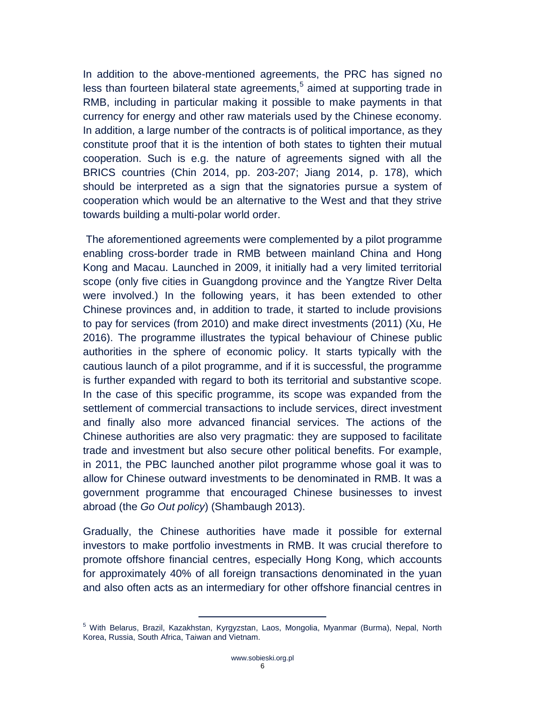In addition to the above-mentioned agreements, the PRC has signed no less than fourteen bilateral state agreements,<sup>5</sup> aimed at supporting trade in RMB, including in particular making it possible to make payments in that currency for energy and other raw materials used by the Chinese economy. In addition, a large number of the contracts is of political importance, as they constitute proof that it is the intention of both states to tighten their mutual cooperation. Such is e.g. the nature of agreements signed with all the BRICS countries (Chin 2014, pp. 203-207; Jiang 2014, p. 178), which should be interpreted as a sign that the signatories pursue a system of cooperation which would be an alternative to the West and that they strive towards building a multi-polar world order.

The aforementioned agreements were complemented by a pilot programme enabling cross-border trade in RMB between mainland China and Hong Kong and Macau. Launched in 2009, it initially had a very limited territorial scope (only five cities in Guangdong province and the Yangtze River Delta were involved.) In the following years, it has been extended to other Chinese provinces and, in addition to trade, it started to include provisions to pay for services (from 2010) and make direct investments (2011) (Xu, He 2016). The programme illustrates the typical behaviour of Chinese public authorities in the sphere of economic policy. It starts typically with the cautious launch of a pilot programme, and if it is successful, the programme is further expanded with regard to both its territorial and substantive scope. In the case of this specific programme, its scope was expanded from the settlement of commercial transactions to include services, direct investment and finally also more advanced financial services. The actions of the Chinese authorities are also very pragmatic: they are supposed to facilitate trade and investment but also secure other political benefits. For example, in 2011, the PBC launched another pilot programme whose goal it was to allow for Chinese outward investments to be denominated in RMB. It was a government programme that encouraged Chinese businesses to invest abroad (the *Go Out policy*) (Shambaugh 2013).

Gradually, the Chinese authorities have made it possible for external investors to make portfolio investments in RMB. It was crucial therefore to promote offshore financial centres, especially Hong Kong, which accounts for approximately 40% of all foreign transactions denominated in the yuan and also often acts as an intermediary for other offshore financial centres in

<sup>5</sup> With Belarus, Brazil, Kazakhstan, Kyrgyzstan, Laos, Mongolia, Myanmar (Burma), Nepal, North Korea, Russia, South Africa, Taiwan and Vietnam.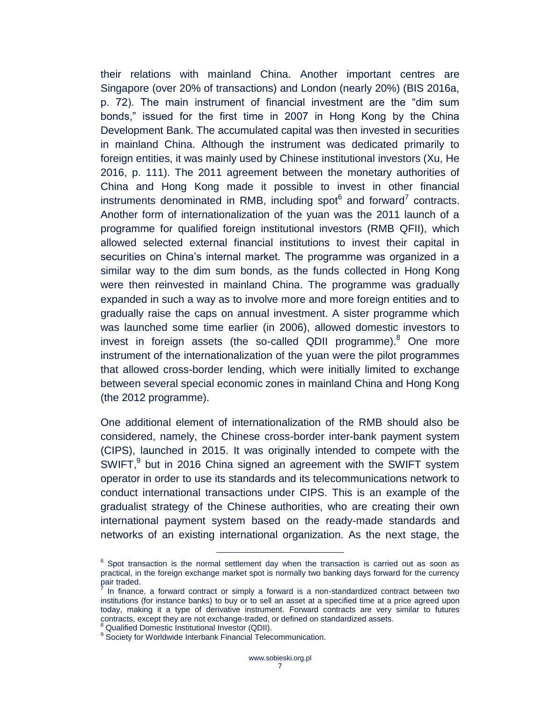their relations with mainland China. Another important centres are Singapore (over 20% of transactions) and London (nearly 20%) (BIS 2016a, p. 72). The main instrument of financial investment are the "dim sum bonds," issued for the first time in 2007 in Hong Kong by the China Development Bank. The accumulated capital was then invested in securities in mainland China. Although the instrument was dedicated primarily to foreign entities, it was mainly used by Chinese institutional investors (Xu, He 2016, p. 111). The 2011 agreement between the monetary authorities of China and Hong Kong made it possible to invest in other financial instruments denominated in RMB, including spot $^6$  and forward<sup>7</sup> contracts. Another form of internationalization of the yuan was the 2011 launch of a programme for qualified foreign institutional investors (RMB QFII), which allowed selected external financial institutions to invest their capital in securities on China's internal market. The programme was organized in a similar way to the dim sum bonds, as the funds collected in Hong Kong were then reinvested in mainland China. The programme was gradually expanded in such a way as to involve more and more foreign entities and to gradually raise the caps on annual investment. A sister programme which was launched some time earlier (in 2006), allowed domestic investors to invest in foreign assets (the so-called QDII programme). $8$  One more instrument of the internationalization of the yuan were the pilot programmes that allowed cross-border lending, which were initially limited to exchange between several special economic zones in mainland China and Hong Kong (the 2012 programme).

One additional element of internationalization of the RMB should also be considered, namely, the Chinese cross-border inter-bank payment system (CIPS), launched in 2015. It was originally intended to compete with the SWIFT, $9$  but in 2016 China signed an agreement with the SWIFT system operator in order to use its standards and its telecommunications network to conduct international transactions under CIPS. This is an example of the gradualist strategy of the Chinese authorities, who are creating their own international payment system based on the ready-made standards and networks of an existing international organization. As the next stage, the

 $6$  Spot transaction is the normal settlement day when the transaction is carried out as soon as practical, in the foreign exchange market spot is normally two banking days forward for the currency pair traded.

<sup>7</sup> In finance, a forward contract or simply a forward is a non-standardized contract between two institutions (for instance banks) to buy or to sell an asset at a specified time at a price agreed upon today, making it a type of derivative instrument. Forward contracts are very similar to futures contracts, except they are not exchange-traded, or defined on standardized assets.

<sup>8</sup> Qualified Domestic Institutional Investor (QDII).

<sup>&</sup>lt;sup>9</sup> Society for Worldwide Interbank Financial Telecommunication.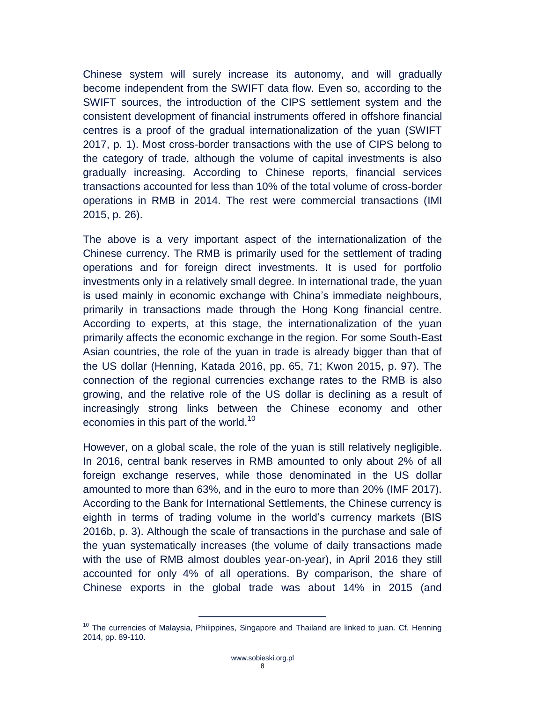Chinese system will surely increase its autonomy, and will gradually become independent from the SWIFT data flow. Even so, according to the SWIFT sources, the introduction of the CIPS settlement system and the consistent development of financial instruments offered in offshore financial centres is a proof of the gradual internationalization of the yuan (SWIFT 2017, p. 1). Most cross-border transactions with the use of CIPS belong to the category of trade, although the volume of capital investments is also gradually increasing. According to Chinese reports, financial services transactions accounted for less than 10% of the total volume of cross-border operations in RMB in 2014. The rest were commercial transactions (IMI 2015, p. 26).

The above is a very important aspect of the internationalization of the Chinese currency. The RMB is primarily used for the settlement of trading operations and for foreign direct investments. It is used for portfolio investments only in a relatively small degree. In international trade, the yuan is used mainly in economic exchange with China's immediate neighbours, primarily in transactions made through the Hong Kong financial centre. According to experts, at this stage, the internationalization of the yuan primarily affects the economic exchange in the region. For some South-East Asian countries, the role of the yuan in trade is already bigger than that of the US dollar (Henning, Katada 2016, pp. 65, 71; Kwon 2015, p. 97). The connection of the regional currencies exchange rates to the RMB is also growing, and the relative role of the US dollar is declining as a result of increasingly strong links between the Chinese economy and other economies in this part of the world.<sup>10</sup>

However, on a global scale, the role of the yuan is still relatively negligible. In 2016, central bank reserves in RMB amounted to only about 2% of all foreign exchange reserves, while those denominated in the US dollar amounted to more than 63%, and in the euro to more than 20% (IMF 2017). According to the Bank for International Settlements, the Chinese currency is eighth in terms of trading volume in the world's currency markets (BIS 2016b, p. 3). Although the scale of transactions in the purchase and sale of the yuan systematically increases (the volume of daily transactions made with the use of RMB almost doubles year-on-year), in April 2016 they still accounted for only 4% of all operations. By comparison, the share of Chinese exports in the global trade was about 14% in 2015 (and

 $10$  The currencies of Malaysia, Philippines, Singapore and Thailand are linked to juan. Cf. Henning 2014, pp. 89-110.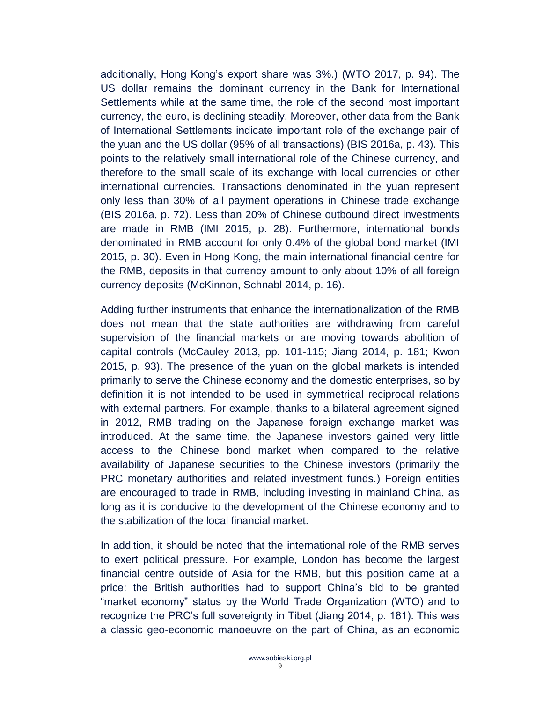additionally, Hong Kong's export share was 3%.) (WTO 2017, p. 94). The US dollar remains the dominant currency in the Bank for International Settlements while at the same time, the role of the second most important currency, the euro, is declining steadily. Moreover, other data from the Bank of International Settlements indicate important role of the exchange pair of the yuan and the US dollar (95% of all transactions) (BIS 2016a, p. 43). This points to the relatively small international role of the Chinese currency, and therefore to the small scale of its exchange with local currencies or other international currencies. Transactions denominated in the yuan represent only less than 30% of all payment operations in Chinese trade exchange (BIS 2016a, p. 72). Less than 20% of Chinese outbound direct investments are made in RMB (IMI 2015, p. 28). Furthermore, international bonds denominated in RMB account for only 0.4% of the global bond market (IMI 2015, p. 30). Even in Hong Kong, the main international financial centre for the RMB, deposits in that currency amount to only about 10% of all foreign currency deposits (McKinnon, Schnabl 2014, p. 16).

Adding further instruments that enhance the internationalization of the RMB does not mean that the state authorities are withdrawing from careful supervision of the financial markets or are moving towards abolition of capital controls (McCauley 2013, pp. 101-115; Jiang 2014, p. 181; Kwon 2015, p. 93). The presence of the yuan on the global markets is intended primarily to serve the Chinese economy and the domestic enterprises, so by definition it is not intended to be used in symmetrical reciprocal relations with external partners. For example, thanks to a bilateral agreement signed in 2012, RMB trading on the Japanese foreign exchange market was introduced. At the same time, the Japanese investors gained very little access to the Chinese bond market when compared to the relative availability of Japanese securities to the Chinese investors (primarily the PRC monetary authorities and related investment funds.) Foreign entities are encouraged to trade in RMB, including investing in mainland China, as long as it is conducive to the development of the Chinese economy and to the stabilization of the local financial market.

In addition, it should be noted that the international role of the RMB serves to exert political pressure. For example, London has become the largest financial centre outside of Asia for the RMB, but this position came at a price: the British authorities had to support China's bid to be granted "market economy" status by the World Trade Organization (WTO) and to recognize the PRC's full sovereignty in Tibet (Jiang 2014, p. 181). This was a classic geo-economic manoeuvre on the part of China, as an economic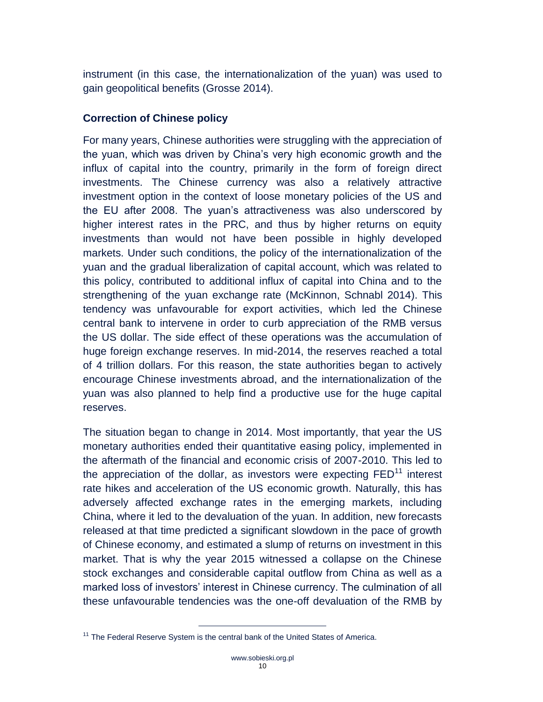instrument (in this case, the internationalization of the yuan) was used to gain geopolitical benefits (Grosse 2014).

#### <span id="page-9-0"></span>**Correction of Chinese policy**

For many years, Chinese authorities were struggling with the appreciation of the yuan, which was driven by China's very high economic growth and the influx of capital into the country, primarily in the form of foreign direct investments. The Chinese currency was also a relatively attractive investment option in the context of loose monetary policies of the US and the EU after 2008. The yuan's attractiveness was also underscored by higher interest rates in the PRC, and thus by higher returns on equity investments than would not have been possible in highly developed markets. Under such conditions, the policy of the internationalization of the yuan and the gradual liberalization of capital account, which was related to this policy, contributed to additional influx of capital into China and to the strengthening of the yuan exchange rate (McKinnon, Schnabl 2014). This tendency was unfavourable for export activities, which led the Chinese central bank to intervene in order to curb appreciation of the RMB versus the US dollar. The side effect of these operations was the accumulation of huge foreign exchange reserves. In mid-2014, the reserves reached a total of 4 trillion dollars. For this reason, the state authorities began to actively encourage Chinese investments abroad, and the internationalization of the yuan was also planned to help find a productive use for the huge capital reserves.

The situation began to change in 2014. Most importantly, that year the US monetary authorities ended their quantitative easing policy, implemented in the aftermath of the financial and economic crisis of 2007-2010. This led to the appreciation of the dollar, as investors were expecting  $\text{FED}^{11}$  interest rate hikes and acceleration of the US economic growth. Naturally, this has adversely affected exchange rates in the emerging markets, including China, where it led to the devaluation of the yuan. In addition, new forecasts released at that time predicted a significant slowdown in the pace of growth of Chinese economy, and estimated a slump of returns on investment in this market. That is why the year 2015 witnessed a collapse on the Chinese stock exchanges and considerable capital outflow from China as well as a marked loss of investors' interest in Chinese currency. The culmination of all these unfavourable tendencies was the one-off devaluation of the RMB by

 $11$  The Federal Reserve System is the central bank of the United States of America.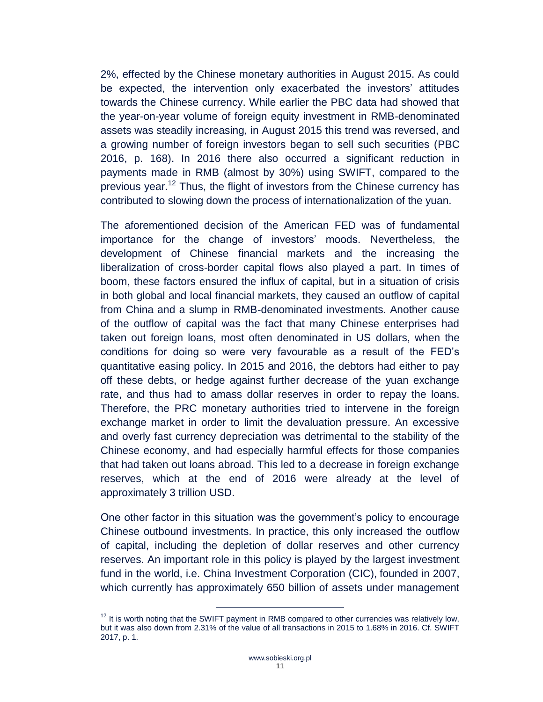2%, effected by the Chinese monetary authorities in August 2015. As could be expected, the intervention only exacerbated the investors' attitudes towards the Chinese currency. While earlier the PBC data had showed that the year-on-year volume of foreign equity investment in RMB-denominated assets was steadily increasing, in August 2015 this trend was reversed, and a growing number of foreign investors began to sell such securities (PBC 2016, p. 168). In 2016 there also occurred a significant reduction in payments made in RMB (almost by 30%) using SWIFT, compared to the previous year.<sup>12</sup> Thus, the flight of investors from the Chinese currency has contributed to slowing down the process of internationalization of the yuan.

The aforementioned decision of the American FED was of fundamental importance for the change of investors' moods. Nevertheless, the development of Chinese financial markets and the increasing the liberalization of cross-border capital flows also played a part. In times of boom, these factors ensured the influx of capital, but in a situation of crisis in both global and local financial markets, they caused an outflow of capital from China and a slump in RMB-denominated investments. Another cause of the outflow of capital was the fact that many Chinese enterprises had taken out foreign loans, most often denominated in US dollars, when the conditions for doing so were very favourable as a result of the FED's quantitative easing policy. In 2015 and 2016, the debtors had either to pay off these debts, or hedge against further decrease of the yuan exchange rate, and thus had to amass dollar reserves in order to repay the loans. Therefore, the PRC monetary authorities tried to intervene in the foreign exchange market in order to limit the devaluation pressure. An excessive and overly fast currency depreciation was detrimental to the stability of the Chinese economy, and had especially harmful effects for those companies that had taken out loans abroad. This led to a decrease in foreign exchange reserves, which at the end of 2016 were already at the level of approximately 3 trillion USD.

One other factor in this situation was the government's policy to encourage Chinese outbound investments. In practice, this only increased the outflow of capital, including the depletion of dollar reserves and other currency reserves. An important role in this policy is played by the largest investment fund in the world, i.e. China Investment Corporation (CIC), founded in 2007, which currently has approximately 650 billion of assets under management

 $12$  It is worth noting that the SWIFT payment in RMB compared to other currencies was relatively low, but it was also down from 2.31% of the value of all transactions in 2015 to 1.68% in 2016. Cf. SWIFT 2017, p. 1.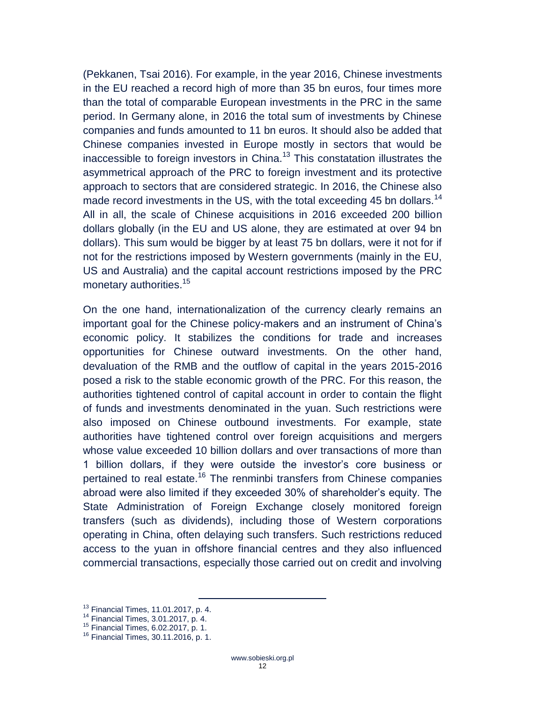(Pekkanen, Tsai 2016). For example, in the year 2016, Chinese investments in the EU reached a record high of more than 35 bn euros, four times more than the total of comparable European investments in the PRC in the same period. In Germany alone, in 2016 the total sum of investments by Chinese companies and funds amounted to 11 bn euros. It should also be added that Chinese companies invested in Europe mostly in sectors that would be inaccessible to foreign investors in China. $13$  This constatation illustrates the asymmetrical approach of the PRC to foreign investment and its protective approach to sectors that are considered strategic. In 2016, the Chinese also made record investments in the US, with the total exceeding 45 bn dollars.<sup>14</sup> All in all, the scale of Chinese acquisitions in 2016 exceeded 200 billion dollars globally (in the EU and US alone, they are estimated at over 94 bn dollars). This sum would be bigger by at least 75 bn dollars, were it not for if not for the restrictions imposed by Western governments (mainly in the EU, US and Australia) and the capital account restrictions imposed by the PRC monetary authorities.<sup>15</sup>

On the one hand, internationalization of the currency clearly remains an important goal for the Chinese policy-makers and an instrument of China's economic policy. It stabilizes the conditions for trade and increases opportunities for Chinese outward investments. On the other hand, devaluation of the RMB and the outflow of capital in the years 2015-2016 posed a risk to the stable economic growth of the PRC. For this reason, the authorities tightened control of capital account in order to contain the flight of funds and investments denominated in the yuan. Such restrictions were also imposed on Chinese outbound investments. For example, state authorities have tightened control over foreign acquisitions and mergers whose value exceeded 10 billion dollars and over transactions of more than 1 billion dollars, if they were outside the investor's core business or pertained to real estate.<sup>16</sup> The renminbi transfers from Chinese companies abroad were also limited if they exceeded 30% of shareholder's equity. The State Administration of Foreign Exchange closely monitored foreign transfers (such as dividends), including those of Western corporations operating in China, often delaying such transfers. Such restrictions reduced access to the yuan in offshore financial centres and they also influenced commercial transactions, especially those carried out on credit and involving

<sup>13</sup> Financial Times, 11.01.2017, p. 4.

<sup>14</sup> Financial Times, 3.01.2017, p. 4.

<sup>15</sup> Financial Times, 6.02.2017, p. 1.

<sup>16</sup> Financial Times, 30.11.2016, p. 1.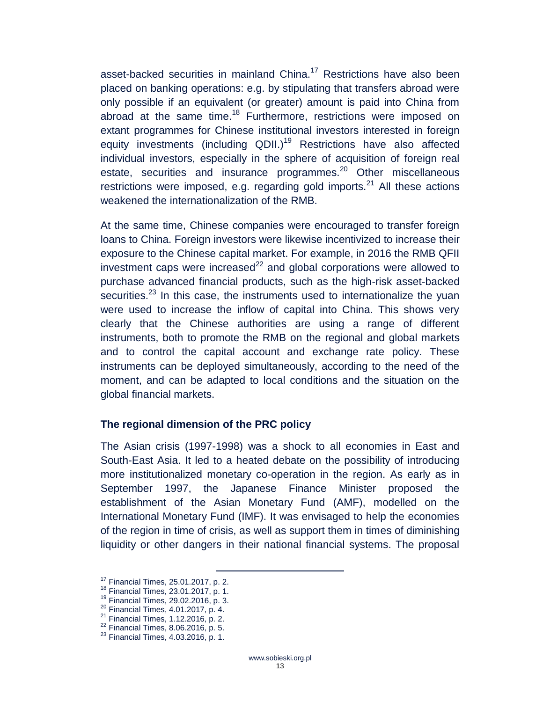asset-backed securities in mainland China.<sup>17</sup> Restrictions have also been placed on banking operations: e.g. by stipulating that transfers abroad were only possible if an equivalent (or greater) amount is paid into China from abroad at the same time.<sup>18</sup> Furthermore, restrictions were imposed on extant programmes for Chinese institutional investors interested in foreign equity investments (including QDII.)<sup>19</sup> Restrictions have also affected individual investors, especially in the sphere of acquisition of foreign real estate, securities and insurance programmes.<sup>20</sup> Other miscellaneous restrictions were imposed, e.g. regarding gold imports.<sup>21</sup> All these actions weakened the internationalization of the RMB.

At the same time, Chinese companies were encouraged to transfer foreign loans to China. Foreign investors were likewise incentivized to increase their exposure to the Chinese capital market. For example, in 2016 the RMB QFII investment caps were increased<sup>22</sup> and global corporations were allowed to purchase advanced financial products, such as the high-risk asset-backed securities. $23$  In this case, the instruments used to internationalize the yuan were used to increase the inflow of capital into China. This shows very clearly that the Chinese authorities are using a range of different instruments, both to promote the RMB on the regional and global markets and to control the capital account and exchange rate policy. These instruments can be deployed simultaneously, according to the need of the moment, and can be adapted to local conditions and the situation on the global financial markets.

#### <span id="page-12-0"></span>**The regional dimension of the PRC policy**

 $\overline{a}$ 

The Asian crisis (1997-1998) was a shock to all economies in East and South-East Asia. It led to a heated debate on the possibility of introducing more institutionalized monetary co-operation in the region. As early as in September 1997, the Japanese Finance Minister proposed the establishment of the Asian Monetary Fund (AMF), modelled on the International Monetary Fund (IMF). It was envisaged to help the economies of the region in time of crisis, as well as support them in times of diminishing liquidity or other dangers in their national financial systems. The proposal

<sup>17</sup> Financial Times, 25.01.2017, p. 2.

<sup>18</sup> Financial Times, 23.01.2017, p. 1.

<sup>19</sup> Financial Times, 29.02.2016, p. 3.

 $^{20}$  Financial Times, 4.01.2017, p. 4.

<sup>21</sup> Financial Times, 1.12.2016, p. 2.

 $22$  Financial Times, 8.06.2016, p. 5.

<sup>23</sup> Financial Times, 4.03.2016, p. 1.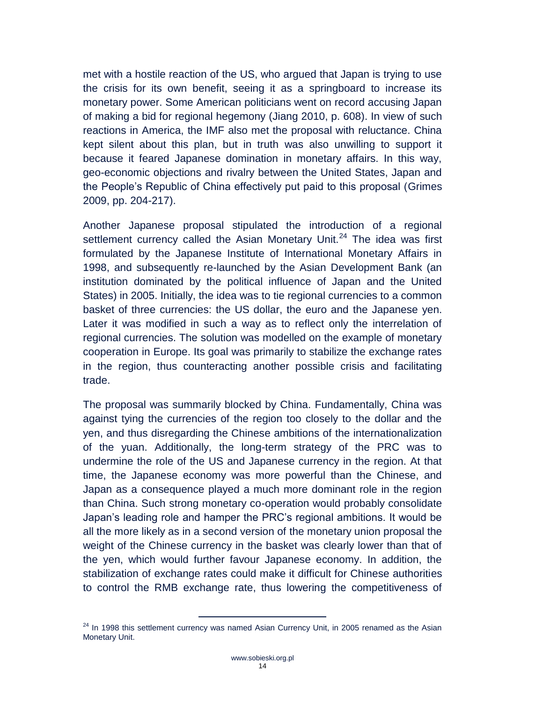met with a hostile reaction of the US, who argued that Japan is trying to use the crisis for its own benefit, seeing it as a springboard to increase its monetary power. Some American politicians went on record accusing Japan of making a bid for regional hegemony (Jiang 2010, p. 608). In view of such reactions in America, the IMF also met the proposal with reluctance. China kept silent about this plan, but in truth was also unwilling to support it because it feared Japanese domination in monetary affairs. In this way, geo-economic objections and rivalry between the United States, Japan and the People's Republic of China effectively put paid to this proposal (Grimes 2009, pp. 204-217).

Another Japanese proposal stipulated the introduction of a regional settlement currency called the Asian Monetary Unit.<sup>24</sup> The idea was first formulated by the Japanese Institute of International Monetary Affairs in 1998, and subsequently re-launched by the Asian Development Bank (an institution dominated by the political influence of Japan and the United States) in 2005. Initially, the idea was to tie regional currencies to a common basket of three currencies: the US dollar, the euro and the Japanese yen. Later it was modified in such a way as to reflect only the interrelation of regional currencies. The solution was modelled on the example of monetary cooperation in Europe. Its goal was primarily to stabilize the exchange rates in the region, thus counteracting another possible crisis and facilitating trade.

The proposal was summarily blocked by China. Fundamentally, China was against tying the currencies of the region too closely to the dollar and the yen, and thus disregarding the Chinese ambitions of the internationalization of the yuan. Additionally, the long-term strategy of the PRC was to undermine the role of the US and Japanese currency in the region. At that time, the Japanese economy was more powerful than the Chinese, and Japan as a consequence played a much more dominant role in the region than China. Such strong monetary co-operation would probably consolidate Japan's leading role and hamper the PRC's regional ambitions. It would be all the more likely as in a second version of the monetary union proposal the weight of the Chinese currency in the basket was clearly lower than that of the yen, which would further favour Japanese economy. In addition, the stabilization of exchange rates could make it difficult for Chinese authorities to control the RMB exchange rate, thus lowering the competitiveness of

 $24$  In 1998 this settlement currency was named Asian Currency Unit, in 2005 renamed as the Asian Monetary Unit.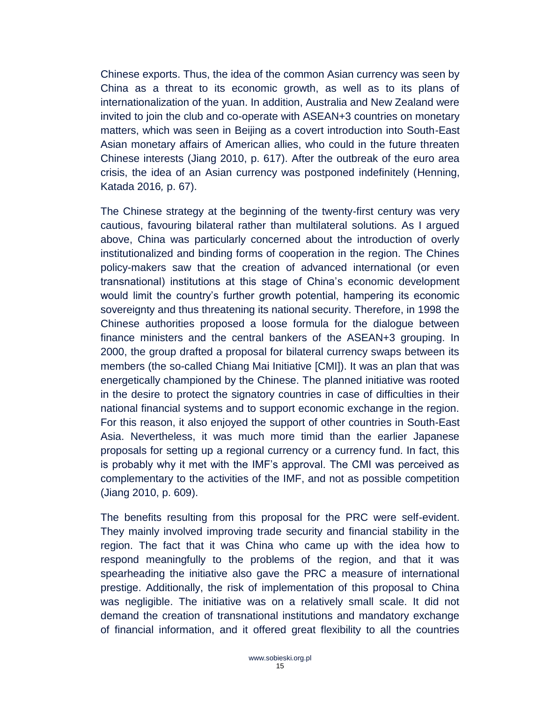Chinese exports. Thus, the idea of the common Asian currency was seen by China as a threat to its economic growth, as well as to its plans of internationalization of the yuan. In addition, Australia and New Zealand were invited to join the club and co-operate with ASEAN+3 countries on monetary matters, which was seen in Beijing as a covert introduction into South-East Asian monetary affairs of American allies, who could in the future threaten Chinese interests (Jiang 2010, p. 617). After the outbreak of the euro area crisis, the idea of an Asian currency was postponed indefinitely (Henning, Katada 2016*,* p. 67).

The Chinese strategy at the beginning of the twenty-first century was very cautious, favouring bilateral rather than multilateral solutions. As I argued above, China was particularly concerned about the introduction of overly institutionalized and binding forms of cooperation in the region. The Chines policy-makers saw that the creation of advanced international (or even transnational) institutions at this stage of China's economic development would limit the country's further growth potential, hampering its economic sovereignty and thus threatening its national security. Therefore, in 1998 the Chinese authorities proposed a loose formula for the dialogue between finance ministers and the central bankers of the ASEAN+3 grouping. In 2000, the group drafted a proposal for bilateral currency swaps between its members (the so-called Chiang Mai Initiative [CMI]). It was an plan that was energetically championed by the Chinese. The planned initiative was rooted in the desire to protect the signatory countries in case of difficulties in their national financial systems and to support economic exchange in the region. For this reason, it also enjoyed the support of other countries in South-East Asia. Nevertheless, it was much more timid than the earlier Japanese proposals for setting up a regional currency or a currency fund. In fact, this is probably why it met with the IMF's approval. The CMI was perceived as complementary to the activities of the IMF, and not as possible competition (Jiang 2010, p. 609).

The benefits resulting from this proposal for the PRC were self-evident. They mainly involved improving trade security and financial stability in the region. The fact that it was China who came up with the idea how to respond meaningfully to the problems of the region, and that it was spearheading the initiative also gave the PRC a measure of international prestige. Additionally, the risk of implementation of this proposal to China was negligible. The initiative was on a relatively small scale. It did not demand the creation of transnational institutions and mandatory exchange of financial information, and it offered great flexibility to all the countries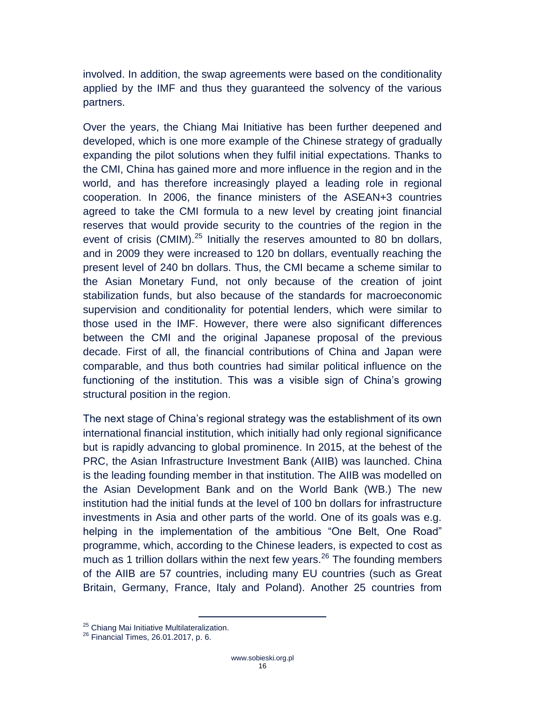involved. In addition, the swap agreements were based on the conditionality applied by the IMF and thus they guaranteed the solvency of the various partners.

Over the years, the Chiang Mai Initiative has been further deepened and developed, which is one more example of the Chinese strategy of gradually expanding the pilot solutions when they fulfil initial expectations. Thanks to the CMI, China has gained more and more influence in the region and in the world, and has therefore increasingly played a leading role in regional cooperation. In 2006, the finance ministers of the ASEAN+3 countries agreed to take the CMI formula to a new level by creating joint financial reserves that would provide security to the countries of the region in the event of crisis (CMIM). $^{25}$  Initially the reserves amounted to 80 bn dollars, and in 2009 they were increased to 120 bn dollars, eventually reaching the present level of 240 bn dollars. Thus, the CMI became a scheme similar to the Asian Monetary Fund, not only because of the creation of joint stabilization funds, but also because of the standards for macroeconomic supervision and conditionality for potential lenders, which were similar to those used in the IMF. However, there were also significant differences between the CMI and the original Japanese proposal of the previous decade. First of all, the financial contributions of China and Japan were comparable, and thus both countries had similar political influence on the functioning of the institution. This was a visible sign of China's growing structural position in the region.

The next stage of China's regional strategy was the establishment of its own international financial institution, which initially had only regional significance but is rapidly advancing to global prominence. In 2015, at the behest of the PRC, the Asian Infrastructure Investment Bank (AIIB) was launched. China is the leading founding member in that institution. The AIIB was modelled on the Asian Development Bank and on the World Bank (WB.) The new institution had the initial funds at the level of 100 bn dollars for infrastructure investments in Asia and other parts of the world. One of its goals was e.g. helping in the implementation of the ambitious "One Belt, One Road" programme, which, according to the Chinese leaders, is expected to cost as much as 1 trillion dollars within the next few years.<sup>26</sup> The founding members of the AIIB are 57 countries, including many EU countries (such as Great Britain, Germany, France, Italy and Poland). Another 25 countries from

<sup>&</sup>lt;sup>25</sup> Chiang Mai Initiative Multilateralization.

<sup>26</sup> Financial Times, 26.01.2017, p. 6.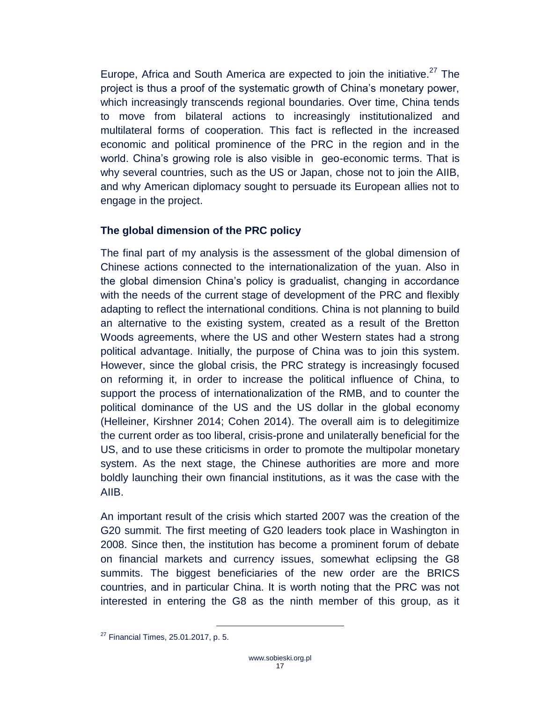Europe, Africa and South America are expected to join the initiative.<sup>27</sup> The project is thus a proof of the systematic growth of China's monetary power, which increasingly transcends regional boundaries. Over time, China tends to move from bilateral actions to increasingly institutionalized and multilateral forms of cooperation. This fact is reflected in the increased economic and political prominence of the PRC in the region and in the world. China's growing role is also visible in geo-economic terms. That is why several countries, such as the US or Japan, chose not to join the AIIB, and why American diplomacy sought to persuade its European allies not to engage in the project.

#### <span id="page-16-0"></span>**The global dimension of the PRC policy**

The final part of my analysis is the assessment of the global dimension of Chinese actions connected to the internationalization of the yuan. Also in the global dimension China's policy is gradualist, changing in accordance with the needs of the current stage of development of the PRC and flexibly adapting to reflect the international conditions. China is not planning to build an alternative to the existing system, created as a result of the Bretton Woods agreements, where the US and other Western states had a strong political advantage. Initially, the purpose of China was to join this system. However, since the global crisis, the PRC strategy is increasingly focused on reforming it, in order to increase the political influence of China, to support the process of internationalization of the RMB, and to counter the political dominance of the US and the US dollar in the global economy (Helleiner, Kirshner 2014; Cohen 2014). The overall aim is to delegitimize the current order as too liberal, crisis-prone and unilaterally beneficial for the US, and to use these criticisms in order to promote the multipolar monetary system. As the next stage, the Chinese authorities are more and more boldly launching their own financial institutions, as it was the case with the AIIB.

An important result of the crisis which started 2007 was the creation of the G20 summit. The first meeting of G20 leaders took place in Washington in 2008. Since then, the institution has become a prominent forum of debate on financial markets and currency issues, somewhat eclipsing the G8 summits. The biggest beneficiaries of the new order are the BRICS countries, and in particular China. It is worth noting that the PRC was not interested in entering the G8 as the ninth member of this group, as it

 $27$  Financial Times, 25.01.2017, p. 5.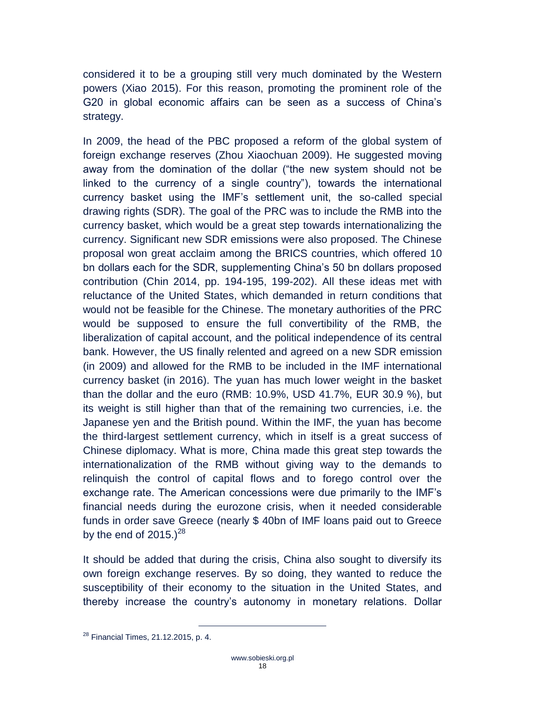considered it to be a grouping still very much dominated by the Western powers (Xiao 2015). For this reason, promoting the prominent role of the G20 in global economic affairs can be seen as a success of China's strategy.

In 2009, the head of the PBC proposed a reform of the global system of foreign exchange reserves (Zhou Xiaochuan 2009). He suggested moving away from the domination of the dollar ("the new system should not be linked to the currency of a single country"), towards the international currency basket using the IMF's settlement unit, the so-called special drawing rights (SDR). The goal of the PRC was to include the RMB into the currency basket, which would be a great step towards internationalizing the currency. Significant new SDR emissions were also proposed. The Chinese proposal won great acclaim among the BRICS countries, which offered 10 bn dollars each for the SDR, supplementing China's 50 bn dollars proposed contribution (Chin 2014, pp. 194-195, 199-202). All these ideas met with reluctance of the United States, which demanded in return conditions that would not be feasible for the Chinese. The monetary authorities of the PRC would be supposed to ensure the full convertibility of the RMB, the liberalization of capital account, and the political independence of its central bank. However, the US finally relented and agreed on a new SDR emission (in 2009) and allowed for the RMB to be included in the IMF international currency basket (in 2016). The yuan has much lower weight in the basket than the dollar and the euro (RMB: 10.9%, USD 41.7%, EUR 30.9 %), but its weight is still higher than that of the remaining two currencies, i.e. the Japanese yen and the British pound. Within the IMF, the yuan has become the third-largest settlement currency, which in itself is a great success of Chinese diplomacy. What is more, China made this great step towards the internationalization of the RMB without giving way to the demands to relinquish the control of capital flows and to forego control over the exchange rate. The American concessions were due primarily to the IMF's financial needs during the eurozone crisis, when it needed considerable funds in order save Greece (nearly \$ 40bn of IMF loans paid out to Greece by the end of  $2015.<sup>28</sup>$ 

It should be added that during the crisis, China also sought to diversify its own foreign exchange reserves. By so doing, they wanted to reduce the susceptibility of their economy to the situation in the United States, and thereby increase the country's autonomy in monetary relations. Dollar

 $^{28}$  Financial Times, 21.12.2015, p. 4.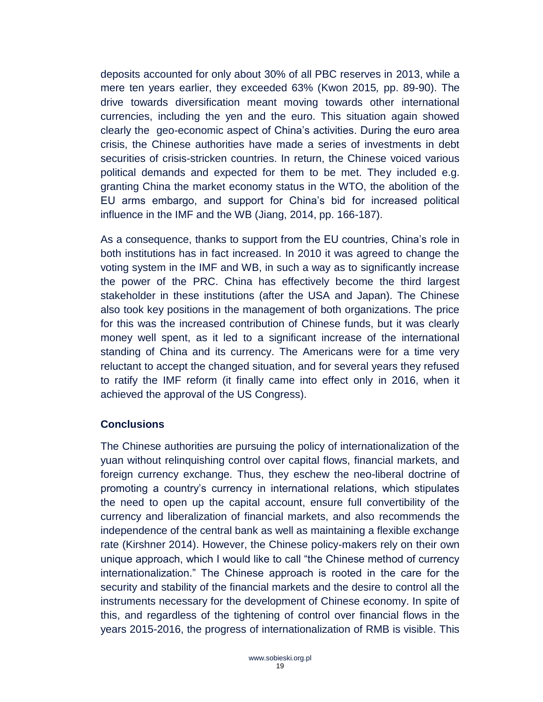deposits accounted for only about 30% of all PBC reserves in 2013, while a mere ten years earlier, they exceeded 63% (Kwon 2015*,* pp. 89-90). The drive towards diversification meant moving towards other international currencies, including the yen and the euro. This situation again showed clearly the geo-economic aspect of China's activities. During the euro area crisis, the Chinese authorities have made a series of investments in debt securities of crisis-stricken countries. In return, the Chinese voiced various political demands and expected for them to be met. They included e.g. granting China the market economy status in the WTO, the abolition of the EU arms embargo, and support for China's bid for increased political influence in the IMF and the WB (Jiang, 2014, pp. 166-187).

As a consequence, thanks to support from the EU countries, China's role in both institutions has in fact increased. In 2010 it was agreed to change the voting system in the IMF and WB, in such a way as to significantly increase the power of the PRC. China has effectively become the third largest stakeholder in these institutions (after the USA and Japan). The Chinese also took key positions in the management of both organizations. The price for this was the increased contribution of Chinese funds, but it was clearly money well spent, as it led to a significant increase of the international standing of China and its currency. The Americans were for a time very reluctant to accept the changed situation, and for several years they refused to ratify the IMF reform (it finally came into effect only in 2016, when it achieved the approval of the US Congress).

#### <span id="page-18-0"></span>**Conclusions**

The Chinese authorities are pursuing the policy of internationalization of the yuan without relinquishing control over capital flows, financial markets, and foreign currency exchange. Thus, they eschew the neo-liberal doctrine of promoting a country's currency in international relations, which stipulates the need to open up the capital account, ensure full convertibility of the currency and liberalization of financial markets, and also recommends the independence of the central bank as well as maintaining a flexible exchange rate (Kirshner 2014). However, the Chinese policy-makers rely on their own unique approach, which I would like to call "the Chinese method of currency internationalization." The Chinese approach is rooted in the care for the security and stability of the financial markets and the desire to control all the instruments necessary for the development of Chinese economy. In spite of this, and regardless of the tightening of control over financial flows in the years 2015-2016, the progress of internationalization of RMB is visible. This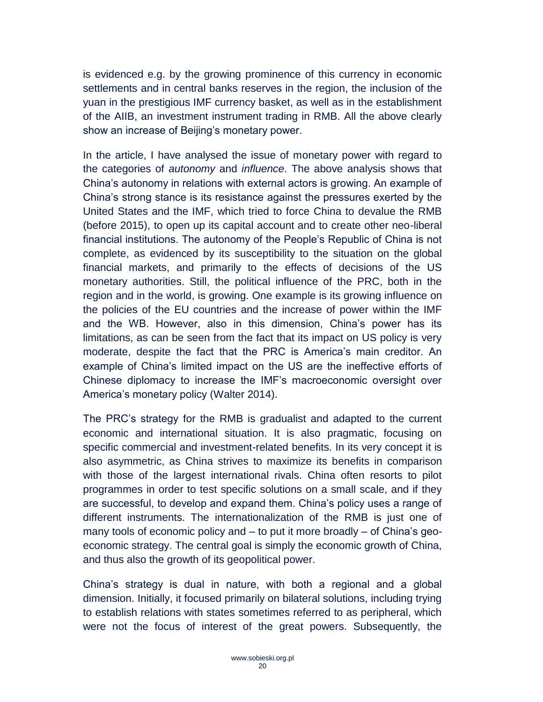is evidenced e.g. by the growing prominence of this currency in economic settlements and in central banks reserves in the region, the inclusion of the yuan in the prestigious IMF currency basket, as well as in the establishment of the AIIB, an investment instrument trading in RMB. All the above clearly show an increase of Beijing's monetary power.

In the article, I have analysed the issue of monetary power with regard to the categories of *autonomy* and *influence*. The above analysis shows that China's autonomy in relations with external actors is growing. An example of China's strong stance is its resistance against the pressures exerted by the United States and the IMF, which tried to force China to devalue the RMB (before 2015), to open up its capital account and to create other neo-liberal financial institutions. The autonomy of the People's Republic of China is not complete, as evidenced by its susceptibility to the situation on the global financial markets, and primarily to the effects of decisions of the US monetary authorities. Still, the political influence of the PRC, both in the region and in the world, is growing. One example is its growing influence on the policies of the EU countries and the increase of power within the IMF and the WB. However, also in this dimension, China's power has its limitations, as can be seen from the fact that its impact on US policy is very moderate, despite the fact that the PRC is America's main creditor. An example of China's limited impact on the US are the ineffective efforts of Chinese diplomacy to increase the IMF's macroeconomic oversight over America's monetary policy (Walter 2014).

The PRC's strategy for the RMB is gradualist and adapted to the current economic and international situation. It is also pragmatic, focusing on specific commercial and investment-related benefits. In its very concept it is also asymmetric, as China strives to maximize its benefits in comparison with those of the largest international rivals. China often resorts to pilot programmes in order to test specific solutions on a small scale, and if they are successful, to develop and expand them. China's policy uses a range of different instruments. The internationalization of the RMB is just one of many tools of economic policy and – to put it more broadly – of China's geoeconomic strategy. The central goal is simply the economic growth of China, and thus also the growth of its geopolitical power.

China's strategy is dual in nature, with both a regional and a global dimension. Initially, it focused primarily on bilateral solutions, including trying to establish relations with states sometimes referred to as peripheral, which were not the focus of interest of the great powers. Subsequently, the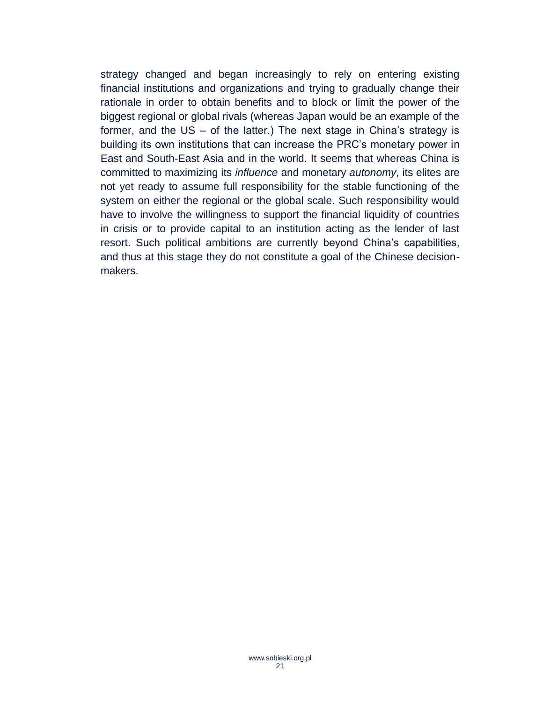strategy changed and began increasingly to rely on entering existing financial institutions and organizations and trying to gradually change their rationale in order to obtain benefits and to block or limit the power of the biggest regional or global rivals (whereas Japan would be an example of the former, and the US – of the latter.) The next stage in China's strategy is building its own institutions that can increase the PRC's monetary power in East and South-East Asia and in the world. It seems that whereas China is committed to maximizing its *influence* and monetary *autonomy*, its elites are not yet ready to assume full responsibility for the stable functioning of the system on either the regional or the global scale. Such responsibility would have to involve the willingness to support the financial liquidity of countries in crisis or to provide capital to an institution acting as the lender of last resort. Such political ambitions are currently beyond China's capabilities, and thus at this stage they do not constitute a goal of the Chinese decisionmakers.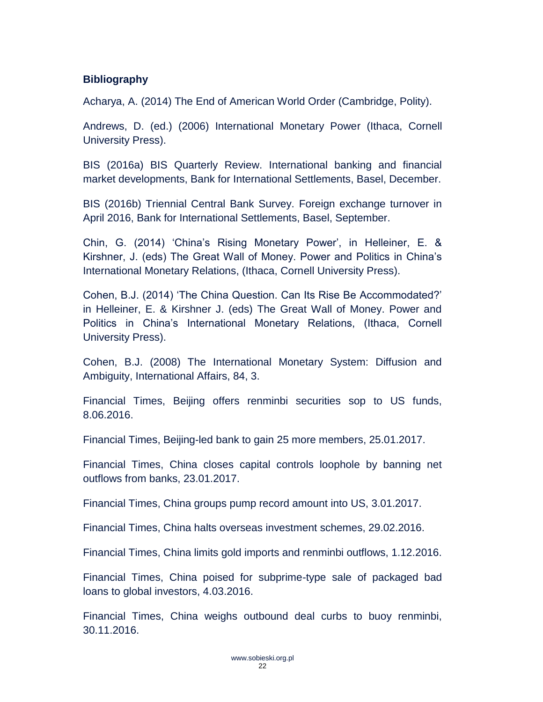#### <span id="page-21-0"></span>**Bibliography**

Acharya, A. (2014) The End of American World Order (Cambridge, Polity).

Andrews, D. (ed.) (2006) International Monetary Power (Ithaca, Cornell University Press).

BIS (2016a) BIS Quarterly Review. International banking and financial market developments, Bank for International Settlements, Basel, December.

BIS (2016b) Triennial Central Bank Survey. Foreign exchange turnover in April 2016, Bank for International Settlements, Basel, September.

Chin, G. (2014) 'China's Rising Monetary Power', in Helleiner, E. & Kirshner, J. (eds) The Great Wall of Money. Power and Politics in China's International Monetary Relations, (Ithaca, Cornell University Press).

Cohen, B.J. (2014) 'The China Question. Can Its Rise Be Accommodated?' in Helleiner, E. & Kirshner J. (eds) The Great Wall of Money. Power and Politics in China's International Monetary Relations, (Ithaca, Cornell University Press).

Cohen, B.J. (2008) The International Monetary System: Diffusion and Ambiguity, International Affairs, 84, 3.

Financial Times, Beijing offers renminbi securities sop to US funds, 8.06.2016.

Financial Times, Beijing-led bank to gain 25 more members, 25.01.2017.

Financial Times, China closes capital controls loophole by banning net outflows from banks, 23.01.2017.

Financial Times, China groups pump record amount into US, 3.01.2017.

Financial Times, China halts overseas investment schemes, 29.02.2016.

Financial Times, China limits gold imports and renminbi outflows, 1.12.2016.

Financial Times, China poised for subprime-type sale of packaged bad loans to global investors, 4.03.2016.

Financial Times, China weighs outbound deal curbs to buoy renminbi, 30.11.2016.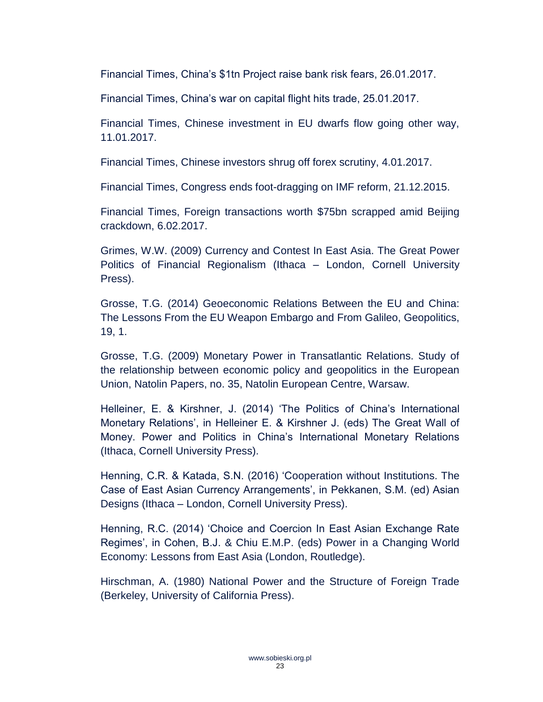Financial Times, China's \$1tn Project raise bank risk fears, 26.01.2017.

Financial Times, China's war on capital flight hits trade, 25.01.2017.

Financial Times, Chinese investment in EU dwarfs flow going other way, 11.01.2017.

Financial Times, Chinese investors shrug off forex scrutiny, 4.01.2017.

Financial Times, Congress ends foot-dragging on IMF reform, 21.12.2015.

Financial Times, Foreign transactions worth \$75bn scrapped amid Beijing crackdown, 6.02.2017.

Grimes, W.W. (2009) Currency and Contest In East Asia. The Great Power Politics of Financial Regionalism (Ithaca – London, Cornell University Press).

Grosse, T.G. (2014) Geoeconomic Relations Between the EU and China: The Lessons From the EU Weapon Embargo and From Galileo, Geopolitics, 19, 1.

Grosse, T.G. (2009) Monetary Power in Transatlantic Relations. Study of the relationship between economic policy and geopolitics in the European Union, Natolin Papers, no. 35, Natolin European Centre, Warsaw.

Helleiner, E. & Kirshner, J. (2014) 'The Politics of China's International Monetary Relations', in Helleiner E. & Kirshner J. (eds) The Great Wall of Money. Power and Politics in China's International Monetary Relations (Ithaca, Cornell University Press).

Henning, C.R. & Katada, S.N. (2016) 'Cooperation without Institutions. The Case of East Asian Currency Arrangements', in Pekkanen, S.M. (ed) Asian Designs (Ithaca – London, Cornell University Press).

Henning, R.C. (2014) 'Choice and Coercion In East Asian Exchange Rate Regimes', in Cohen, B.J. & Chiu E.M.P. (eds) Power in a Changing World Economy: Lessons from East Asia (London, Routledge).

Hirschman, A. (1980) National Power and the Structure of Foreign Trade (Berkeley, University of California Press).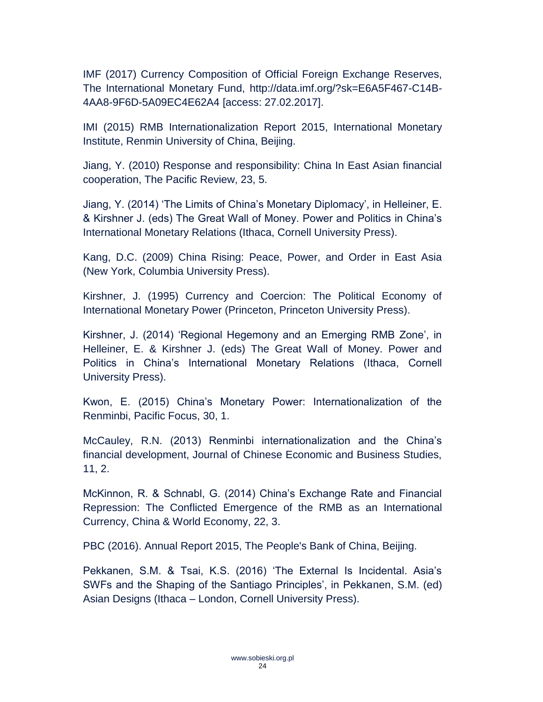IMF (2017) Currency Composition of Official Foreign Exchange Reserves, The International Monetary Fund, [http://data.imf.org/?sk=E6A5F467-C14B-](http://data.imf.org/?sk=E6A5F467-C14B-4AA8-9F6D-5A09EC4E62A4)[4AA8-9F6D-5A09EC4E62A4](http://data.imf.org/?sk=E6A5F467-C14B-4AA8-9F6D-5A09EC4E62A4) [access: 27.02.2017].

IMI (2015) RMB Internationalization Report 2015, International Monetary Institute, Renmin University of China, Beijing.

Jiang, Y. (2010) Response and responsibility: China In East Asian financial cooperation, The Pacific Review, 23, 5.

Jiang, Y. (2014) 'The Limits of China's Monetary Diplomacy', in Helleiner, E. & Kirshner J. (eds) The Great Wall of Money. Power and Politics in China's International Monetary Relations (Ithaca, Cornell University Press).

Kang, D.C. (2009) China Rising: Peace, Power, and Order in East Asia (New York, Columbia University Press).

Kirshner, J. (1995) Currency and Coercion: The Political Economy of International Monetary Power (Princeton, Princeton University Press).

Kirshner, J. (2014) 'Regional Hegemony and an Emerging RMB Zone', in Helleiner, E. & Kirshner J. (eds) The Great Wall of Money. Power and Politics in China's International Monetary Relations (Ithaca, Cornell University Press).

Kwon, E. (2015) China's Monetary Power: Internationalization of the Renminbi, Pacific Focus, 30, 1.

McCauley, R.N. (2013) Renminbi internationalization and the China's financial development, Journal of Chinese Economic and Business Studies, 11, 2.

McKinnon, R. & Schnabl, G. (2014) China's Exchange Rate and Financial Repression: The Conflicted Emergence of the RMB as an International Currency, China & World Economy, 22, 3.

PBC (2016). Annual Report 2015, The People's Bank of China, Beijing.

Pekkanen, S.M. & Tsai, K.S. (2016) 'The External Is Incidental. Asia's SWFs and the Shaping of the Santiago Principles', in Pekkanen, S.M. (ed) Asian Designs (Ithaca – London, Cornell University Press).